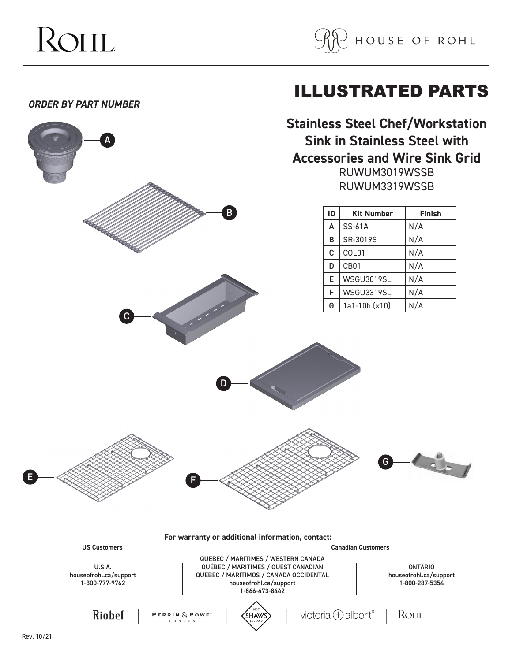

ILLUSTRATED PARTS

## *ORDER BY PART NUMBER*

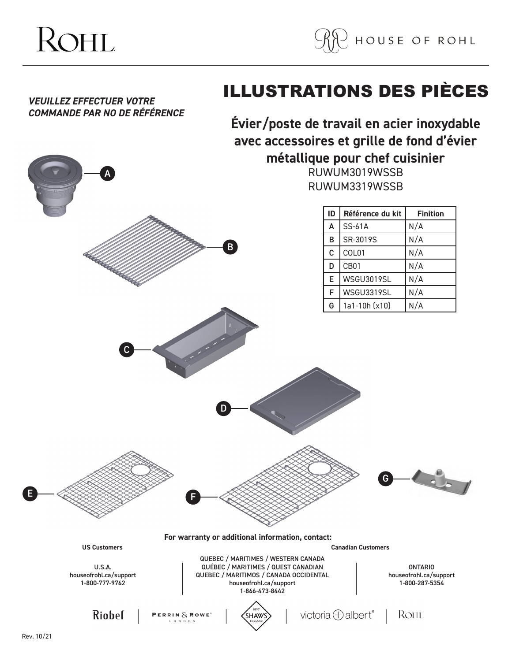



*VEUILLEZ EFFECTUER VOTRE* 

A

## ILLUSTRATIONS DES PIÈCES

*COMMANDE PAR NO DE RÉFÉRENCE* **Évier/poste de travail en acier inoxydable avec accessoires et grille de fond d'évier métallique pour chef cuisinier**

RUWUM3019WSSB RUWUM3319WSSB

|                                                           |                                                                                                                           | ID                        | Référence du kit          | <b>Finition</b>                                            |
|-----------------------------------------------------------|---------------------------------------------------------------------------------------------------------------------------|---------------------------|---------------------------|------------------------------------------------------------|
|                                                           |                                                                                                                           | $\boldsymbol{\mathsf{A}}$ | SS-61A                    | N/A                                                        |
|                                                           |                                                                                                                           | B                         | SR-3019S                  | N/A                                                        |
|                                                           | B                                                                                                                         | $\mathbf C$               | COL01                     | N/A                                                        |
|                                                           |                                                                                                                           | D                         | CB01                      | N/A                                                        |
|                                                           |                                                                                                                           | E                         | <b>WSGU3019SL</b>         | N/A                                                        |
|                                                           |                                                                                                                           | F                         | WSGU3319SL                | N/A                                                        |
|                                                           |                                                                                                                           | G                         | 1a1-10h (x10)             | N/A                                                        |
|                                                           |                                                                                                                           |                           | G                         |                                                            |
| <b>US Customers</b>                                       | For warranty or additional information, contact:                                                                          |                           | <b>Canadian Customers</b> |                                                            |
|                                                           | QUEBEC / MARITIMES / WESTERN CANADA                                                                                       |                           |                           |                                                            |
| <b>U.S.A.</b><br>houseofrohl.ca/support<br>1-800-777-9762 | QUÉBEC / MARITIMES / QUEST CANADIAN<br>QUEBEC / MARITIMOS / CANADA OCCIDENTAL<br>houseofrohl.ca/support<br>1-866-473-8442 |                           |                           | <b>ONTARIO</b><br>houseofrohl.ca/support<br>1-800-287-5354 |
|                                                           |                                                                                                                           |                           |                           |                                                            |